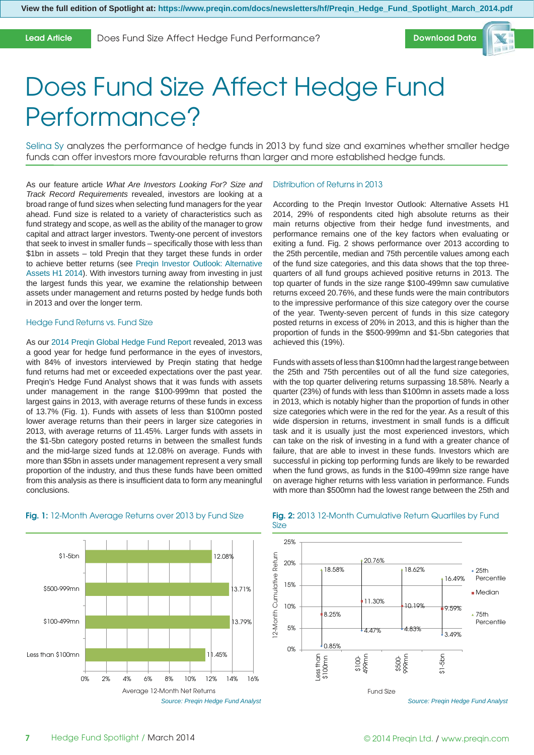#### **Lead Article**

Does Fund Size Affect Hedge Fund Performance?



# Does Fund Size Affect Hedge Fund Performance?

Selina Sy analyzes the performance of hedge funds in 2013 by fund size and examines whether smaller hedge funds can offer investors more favourable returns than larger and more established hedge funds.

As our feature article *What Are Investors Looking For? Size and Track Record Requirements* revealed, investors are looking at a broad range of fund sizes when selecting fund managers for the year ahead. Fund size is related to a variety of characteristics such as fund strategy and scope, as well as the ability of the manager to grow capital and attract larger investors. Twenty-one percent of investors that seek to invest in smaller funds – specifically those with less than \$1bn in assets – told Preqin that they target these funds in order to achieve better returns (see [Preqin Investor Outlook: Alternative](www.preqin.com/investoroutlook)  [Assets H1 2014\).](www.preqin.com/investoroutlook) With investors turning away from investing in just the largest funds this year, we examine the relationship between assets under management and returns posted by hedge funds both in 2013 and over the longer term.

#### Hedge Fund Returns vs. Fund Size

As our 2014 Pregin Global Hedge Fund Report revealed, 2013 was a good year for hedge fund performance in the eyes of investors, with 84% of investors interviewed by Preqin stating that hedge fund returns had met or exceeded expectations over the past year. Preqin's Hedge Fund Analyst shows that it was funds with assets under management in the range \$100-999mn that posted the largest gains in 2013, with average returns of these funds in excess of 13.7% (Fig. 1). Funds with assets of less than \$100mn posted lower average returns than their peers in larger size categories in 2013, with average returns of 11.45%. Larger funds with assets in the \$1-5bn category posted returns in between the smallest funds and the mid-large sized funds at 12.08% on average. Funds with more than \$5bn in assets under management represent a very small proportion of the industry, and thus these funds have been omitted from this analysis as there is insufficient data to form any meaningful conclusions.

### Distribution of Returns in 2013

According to the Preqin Investor Outlook: Alternative Assets H1 2014, 29% of respondents cited high absolute returns as their main returns objective from their hedge fund investments, and performance remains one of the key factors when evaluating or exiting a fund. Fig. 2 shows performance over 2013 according to the 25th percentile, median and 75th percentile values among each of the fund size categories, and this data shows that the top threequarters of all fund groups achieved positive returns in 2013. The top quarter of funds in the size range \$100-499mn saw cumulative returns exceed 20.76%, and these funds were the main contributors to the impressive performance of this size category over the course of the year. Twenty-seven percent of funds in this size category posted returns in excess of 20% in 2013, and this is higher than the proportion of funds in the \$500-999mn and \$1-5bn categories that achieved this (19%).

Funds with assets of less than \$100mn had the largest range between the 25th and 75th percentiles out of all the fund size categories, with the top quarter delivering returns surpassing 18.58%. Nearly a quarter (23%) of funds with less than \$100mn in assets made a loss in 2013, which is notably higher than the proportion of funds in other size categories which were in the red for the year. As a result of this wide dispersion in returns, investment in small funds is a difficult task and it is usually just the most experienced investors, which can take on the risk of investing in a fund with a greater chance of failure, that are able to invest in these funds. Investors which are successful in picking top performing funds are likely to be rewarded when the fund grows, as funds in the \$100-499mn size range have on average higher returns with less variation in performance. Funds with more than \$500mn had the lowest range between the 25th and



#### **Fig. 1:** 12-Month Average Returns over 2013 by Fund Size

#### **Fig. 2:** 2013 12-Month Cumulative Return Quartiles by Fund Size



*Source: Preqin Hedge Fund Analyst*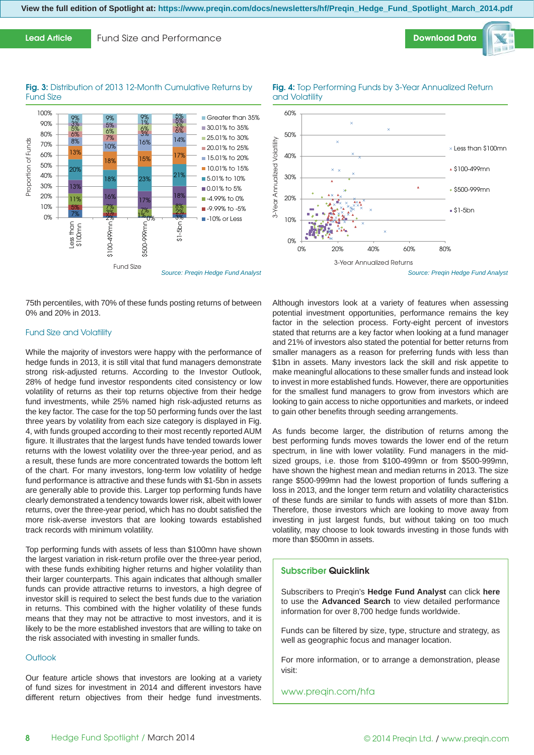**View the full edition of Spotlight at: https://www.preqin.com/docs/newsletters/hf/Preqin\_Hedge\_Fund\_Spotlight\_March\_2014.pdf**

**Lead Article** Fund Size and Performance

#### Fig. 3: Distribution of 2013 12-Month Cumulative Returns by Fund Size



75th percentiles, with 70% of these funds posting returns of between 0% and 20% in 2013.

#### Fund Size and Volatility

While the majority of investors were happy with the performance of hedge funds in 2013, it is still vital that fund managers demonstrate strong risk-adjusted returns. According to the Investor Outlook, 28% of hedge fund investor respondents cited consistency or low volatility of returns as their top returns objective from their hedge fund investments, while 25% named high risk-adjusted returns as the key factor. The case for the top 50 performing funds over the last three years by volatility from each size category is displayed in Fig. 4, with funds grouped according to their most recently reported AUM figure. It illustrates that the largest funds have tended towards lower returns with the lowest volatility over the three-year period, and as a result, these funds are more concentrated towards the bottom left of the chart. For many investors, long-term low volatility of hedge fund performance is attractive and these funds with \$1-5bn in assets are generally able to provide this. Larger top performing funds have clearly demonstrated a tendency towards lower risk, albeit with lower returns, over the three-year period, which has no doubt satisfied the more risk-averse investors that are looking towards established track records with minimum volatility.

Top performing funds with assets of less than \$100mn have shown the largest variation in risk-return profile over the three-year period, with these funds exhibiting higher returns and higher volatility than their larger counterparts. This again indicates that although smaller funds can provide attractive returns to investors, a high degree of investor skill is required to select the best funds due to the variation in returns. This combined with the higher volatility of these funds means that they may not be attractive to most investors, and it is likely to be the more established investors that are willing to take on the risk associated with investing in smaller funds.

#### **Outlook**

Our feature article shows that investors are looking at a variety of fund sizes for investment in 2014 and different investors have different return objectives from their hedge fund investments.



**Fig. 4:** Top Performing Funds by 3-Year Annualized Return

*Source: Preqin Hedge Fund Analyst*

**[Download Data](https://www.preqin.com/go.aspx?lid=7907)**

Although investors look at a variety of features when assessing potential investment opportunities, performance remains the key factor in the selection process. Forty-eight percent of investors stated that returns are a key factor when looking at a fund manager and 21% of investors also stated the potential for better returns from smaller managers as a reason for preferring funds with less than \$1bn in assets. Many investors lack the skill and risk appetite to make meaningful allocations to these smaller funds and instead look to invest in more established funds. However, there are opportunities for the smallest fund managers to grow from investors which are looking to gain access to niche opportunities and markets, or indeed to gain other benefits through seeding arrangements.

As funds become larger, the distribution of returns among the best performing funds moves towards the lower end of the return spectrum, in line with lower volatility. Fund managers in the midsized groups, i.e. those from \$100-499mn or from \$500-999mn, have shown the highest mean and median returns in 2013. The size range \$500-999mn had the lowest proportion of funds suffering a loss in 2013, and the longer term return and volatility characteristics of these funds are similar to funds with assets of more than \$1bn. Therefore, those investors which are looking to move away from investing in just largest funds, but without taking on too much volatility, may choose to look towards investing in those funds with more than \$500mn in assets.

#### **Subscriber Quicklink**

Subscribers to Preqin's **[Hedge Fund Analyst](www.preqin.com/hfa)** can click **[here](https://www.preqin.com/user/HF/Funds/HF_FundsAdvancedSearch.aspx?source=FundPerf&src=1)** to use the **[Advanced Search](https://www.preqin.com/user/HF/Funds/HF_FundsAdvancedSearch.aspx?source=FundPerf&src=1)** to view detailed performance information for over 8,700 hedge funds worldwide.

Funds can be filtered by size, type, structure and strategy, as well as geographic focus and manager location.

For more information, or to arrange a demonstration, please visit:

www.preqin.com/hfa